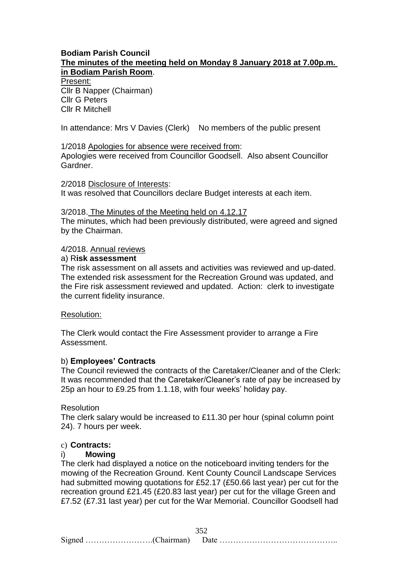### **Bodiam Parish Council The minutes of the meeting held on Monday 8 January 2018 at 7.00p.m. in Bodiam Parish Room**.

Present: Cllr B Napper (Chairman) Cllr G Peters Cllr R Mitchell

In attendance: Mrs V Davies (Clerk) No members of the public present

1/2018 Apologies for absence were received from: Apologies were received from Councillor Goodsell. Also absent Councillor Gardner.

2/2018 Disclosure of Interests: It was resolved that Councillors declare Budget interests at each item.

3/2018. The Minutes of the Meeting held on 4.12.17 The minutes, which had been previously distributed, were agreed and signed by the Chairman.

# 4/2018. Annual reviews

### a) R**isk assessment**

The risk assessment on all assets and activities was reviewed and up-dated. The extended risk assessment for the Recreation Ground was updated, and the Fire risk assessment reviewed and updated. Action: clerk to investigate the current fidelity insurance.

## Resolution:

The Clerk would contact the Fire Assessment provider to arrange a Fire Assessment.

## b) **Employees' Contracts**

The Council reviewed the contracts of the Caretaker/Cleaner and of the Clerk: It was recommended that the Caretaker/Cleaner's rate of pay be increased by 25p an hour to £9.25 from 1.1.18, with four weeks' holiday pay.

## Resolution

The clerk salary would be increased to £11.30 per hour (spinal column point 24). 7 hours per week.

## c) **Contracts:**

## i) **Mowing**

The clerk had displayed a notice on the noticeboard inviting tenders for the mowing of the Recreation Ground. Kent County Council Landscape Services had submitted mowing quotations for £52.17 (£50.66 last year) per cut for the recreation ground £21.45 (£20.83 last year) per cut for the village Green and £7.52 (£7.31 last year) per cut for the War Memorial. Councillor Goodsell had

 $352$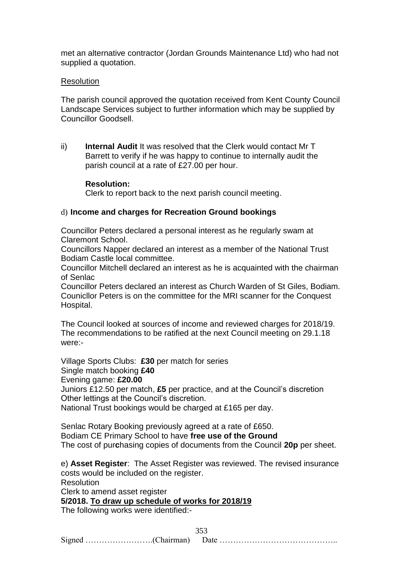met an alternative contractor (Jordan Grounds Maintenance Ltd) who had not supplied a quotation.

## **Resolution**

The parish council approved the quotation received from Kent County Council Landscape Services subject to further information which may be supplied by Councillor Goodsell.

ii) **Internal Audit** It was resolved that the Clerk would contact Mr T Barrett to verify if he was happy to continue to internally audit the parish council at a rate of £27.00 per hour.

#### **Resolution:**

Clerk to report back to the next parish council meeting.

### d) **Income and charges for Recreation Ground bookings**

Councillor Peters declared a personal interest as he regularly swam at Claremont School.

Councillors Napper declared an interest as a member of the National Trust Bodiam Castle local committee.

Councillor Mitchell declared an interest as he is acquainted with the chairman of Senlac

Councillor Peters declared an interest as Church Warden of St Giles, Bodiam. Counicllor Peters is on the committee for the MRI scanner for the Conquest Hospital.

The Council looked at sources of income and reviewed charges for 2018/19. The recommendations to be ratified at the next Council meeting on 29.1.18 were:-

Village Sports Clubs: **£30** per match for series Single match booking **£40** Evening game: **£20.00** Juniors £12.50 per match, **£5** per practice, and at the Council's discretion Other lettings at the Council's discretion. National Trust bookings would be charged at £165 per day.

Senlac Rotary Booking previously agreed at a rate of £650. Bodiam CE Primary School to have **free use of the Ground** The cost of pur**c**hasing copies of documents from the Council **20p** per sheet.

e) **Asset Register**: The Asset Register was reviewed. The revised insurance costs would be included on the register.

Resolution

Clerk to amend asset register

**5/2018. To draw up schedule of works for 2018/19**

The following works were identified:-

353

Signed …………………….(Chairman) Date ……………………………………..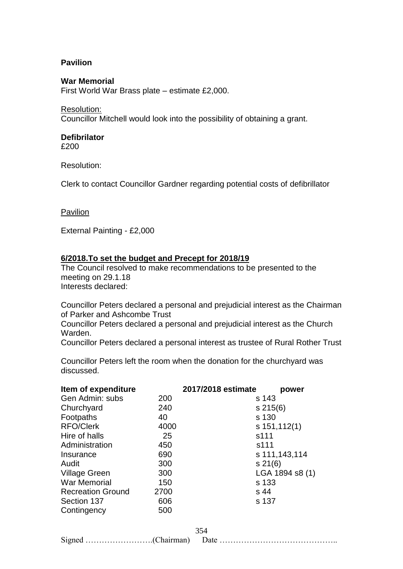## **Pavilion**

### **War Memorial**

First World War Brass plate – estimate £2,000.

#### Resolution:

Councillor Mitchell would look into the possibility of obtaining a grant.

# **Defibrilator**

£200

Resolution:

Clerk to contact Councillor Gardner regarding potential costs of defibrillator

Pavilion

External Painting - £2,000

## **6/2018.To set the budget and Precept for 2018/19**

The Council resolved to make recommendations to be presented to the meeting on 29.1.18 Interests declared:

Councillor Peters declared a personal and prejudicial interest as the Chairman of Parker and Ashcombe Trust

Councillor Peters declared a personal and prejudicial interest as the Church Warden.

Councillor Peters declared a personal interest as trustee of Rural Rother Trust

Councillor Peters left the room when the donation for the churchyard was discussed.

| Item of expenditure      |      | 2017/2018 estimate | power           |
|--------------------------|------|--------------------|-----------------|
| Gen Admin: subs          | 200  |                    | s 143           |
| Churchyard               | 240  |                    | $s \, 215(6)$   |
| Footpaths                | 40   |                    | s 130           |
| <b>RFO/Clerk</b>         | 4000 |                    | $s$ 151,112(1)  |
| Hire of halls            | 25   |                    | s111            |
| Administration           | 450  |                    | s111            |
| Insurance                | 690  |                    | s 111,143,114   |
| Audit                    | 300  |                    | $s \, 21(6)$    |
| <b>Village Green</b>     | 300  |                    | LGA 1894 s8 (1) |
| <b>War Memorial</b>      | 150  |                    | s 133           |
| <b>Recreation Ground</b> | 2700 |                    | s 44            |
| Section 137              | 606  |                    | s 137           |
| Contingency              | 500  |                    |                 |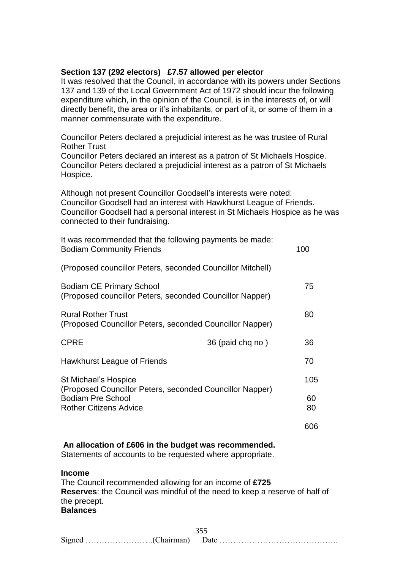### **Section 137 (292 electors) £7.57 allowed per elector**

It was resolved that the Council, in accordance with its powers under Sections 137 and 139 of the Local Government Act of 1972 should incur the following expenditure which, in the opinion of the Council, is in the interests of, or will directly benefit, the area or it's inhabitants, or part of it, or some of them in a manner commensurate with the expenditure.

Councillor Peters declared a prejudicial interest as he was trustee of Rural Rother Trust

Councillor Peters declared an interest as a patron of St Michaels Hospice. Councillor Peters declared a prejudicial interest as a patron of St Michaels Hospice.

Although not present Councillor Goodsell's interests were noted: Councillor Goodsell had an interest with Hawkhurst League of Friends. Councillor Goodsell had a personal interest in St Michaels Hospice as he was connected to their fundraising.

| It was recommended that the following payments be made:<br><b>Bodiam Community Friends</b>  |                  | 100      |
|---------------------------------------------------------------------------------------------|------------------|----------|
| (Proposed councillor Peters, seconded Councillor Mitchell)                                  |                  |          |
| <b>Bodiam CE Primary School</b><br>(Proposed councillor Peters, seconded Councillor Napper) |                  | 75       |
| <b>Rural Rother Trust</b><br>(Proposed Councillor Peters, seconded Councillor Napper)       |                  | 80       |
| <b>CPRE</b>                                                                                 | 36 (paid chq no) | 36       |
| Hawkhurst League of Friends                                                                 |                  | 70       |
| St Michael's Hospice<br>(Proposed Councillor Peters, seconded Councillor Napper)            |                  |          |
| <b>Bodiam Pre School</b><br><b>Rother Citizens Advice</b>                                   |                  | 60<br>80 |
|                                                                                             |                  | 606      |
|                                                                                             |                  |          |

#### **An allocation of £606 in the budget was recommended.**

Statements of accounts to be requested where appropriate.

#### **Income**

The Council recommended allowing for an income of **£725 Reserves**: the Council was mindful of the need to keep a reserve of half of the precept.

355

### **Balances**

|--|--|